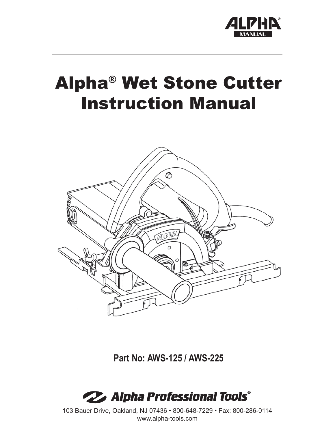

# Alpha® Wet Stone Cutter Instruction Manual



**Part No: AWS-125 / AWS-225**



103 Bauer Drive, Oakland, NJ 07436 • 800-648-7229 • Fax: 800-286-0114 www.alpha-tools.com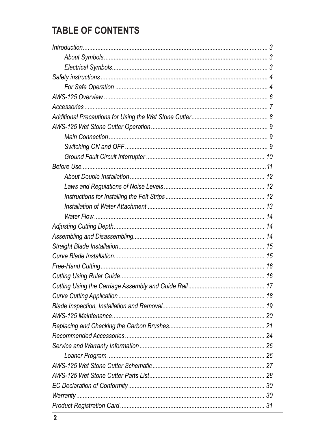### **TABLE OF CONTENTS**

| 17 |
|----|
|    |
|    |
|    |
|    |
|    |
|    |
|    |
|    |
|    |
|    |
|    |
|    |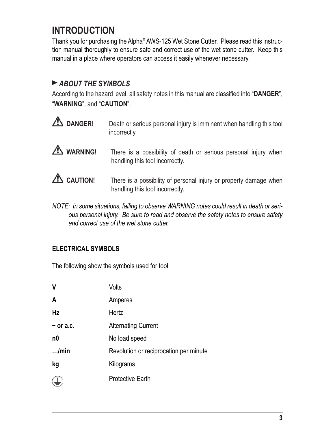### **INTRODUCTION**

Thank you for purchasing the Alpha® AWS-125 Wet Stone Cutter. Please read this instruction manual thoroughly to ensure safe and correct use of the wet stone cutter. Keep this manual in a place where operators can access it easily whenever necessary.

#### *ABOUT THE SYMBOLS*

According to the hazard level, all safety notes in this manual are classified into "DANGER", "**WARNING**", and "**CAUTION**".

- **2 DANGER!** Death or serious personal injury is imminent when handling this tool incorrectly. **WARNING!** There is a possibility of death or serious personal injury when handling this tool incorrectly. **CAUTION!** There is a possibility of personal injury or property damage when handling this tool incorrectly.
- *NOTE: In some situations, failing to observe WARNING notes could result in death or serious personal injury. Be sure to read and observe the safety notes to ensure safety and correct use of the wet stone cutter.*

#### **ELECTRICAL SYMBOLS**

The following show the symbols used for tool.

| $\mathbf v$    | Volts                                  |
|----------------|----------------------------------------|
| A              | Amperes                                |
| <b>Hz</b>      | Hertz                                  |
| $\sim$ or a.c. | <b>Alternating Current</b>             |
| n0             | No load speed                          |
| $$ /min        | Revolution or reciprocation per minute |
| kg             | Kilograms                              |
|                | <b>Protective Earth</b>                |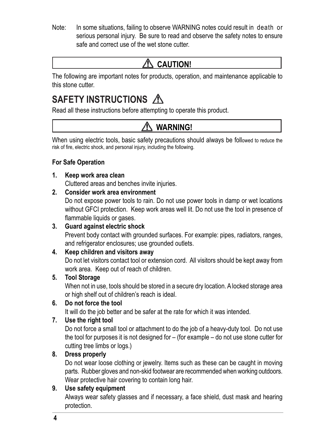Note: In some situations, failing to observe WARNING notes could result in death or serious personal injury. Be sure to read and observe the safety notes to ensure safe and correct use of the wet stone cutter.

### **CAUTION!**

The following are important notes for products, operation, and maintenance applicable to this stone cutter.

### **SAFETY INSTRUCTIONS**

Read all these instructions before attempting to operate this product.

### **WARNING!**

When using electric tools, basic safety precautions should always be followed to reduce the risk of fire, electric shock, and personal injury, including the following.

#### **For Safe Operation**

- **1. Keep work area clean** Cluttered areas and benches invite injuries.
- **2. Consider work area environment**

 Do not expose power tools to rain. Do not use power tools in damp or wet locations without GFCI protection. Keep work areas well lit. Do not use the tool in presence of flammable liquids or gases.

#### **3. Guard against electric shock**

 Prevent body contact with grounded surfaces. For example: pipes, radiators, ranges, and refrigerator enclosures; use grounded outlets.

#### **4. Keep children and visitors away**

 Do not let visitors contact tool or extension cord. All visitors should be kept away from work area. Keep out of reach of children.

#### **5. Tool Storage**

 When not in use, tools should be stored in a secure dry location. A locked storage area or high shelf out of children's reach is ideal.

#### **6. Do not force the tool**

It will do the job better and be safer at the rate for which it was intended.

#### **7. Use the right tool**

 Do not force a small tool or attachment to do the job of a heavy-duty tool. Do not use the tool for purposes it is not designed for – (for example – do not use stone cutter for cutting tree limbs or logs.)

#### **8. Dress properly**

 Do not wear loose clothing or jewelry. Items such as these can be caught in moving parts. Rubber gloves and non-skid footwear are recommended when working outdoors. Wear protective hair covering to contain long hair.

#### **9. Use safety equipment**

 Always wear safety glasses and if necessary, a face shield, dust mask and hearing protection.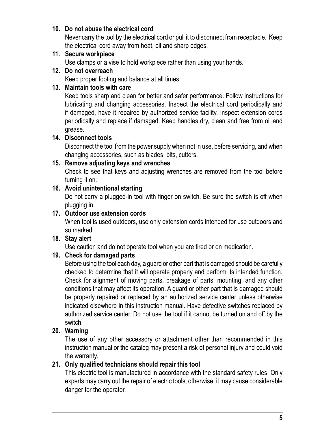#### **10. Do not abuse the electrical cord**

 Never carry the tool by the electrical cord or pull it to disconnect from receptacle. Keep the electrical cord away from heat, oil and sharp edges.

#### **11. Secure workpiece**

Use clamps or a vise to hold workpiece rather than using your hands.

#### **12. Do not overreach**

Keep proper footing and balance at all times.

#### **13. Maintain tools with care**

 Keep tools sharp and clean for better and safer performance. Follow instructions for lubricating and changing accessories. Inspect the electrical cord periodically and if damaged, have it repaired by authorized service facility. Inspect extension cords periodically and replace if damaged. Keep handles dry, clean and free from oil and grease.

#### **14. Disconnect tools**

 Disconnect the tool from the power supply when not in use, before servicing, and when changing accessories, such as blades, bits, cutters.

#### **15. Remove adjusting keys and wrenches**

 Check to see that keys and adjusting wrenches are removed from the tool before turning it on.

#### **16. Avoid unintentional starting**

Do not carry a plugged-in tool with finger on switch. Be sure the switch is off when plugging in.

#### **17. Outdoor use extension cords**

 When tool is used outdoors, use only extension cords intended for use outdoors and so marked.

#### **18. Stay alert**

Use caution and do not operate tool when you are tired or on medication.

#### **19. Check for damaged parts**

 Before using the tool each day, a guard or other part that is damaged should be carefully checked to determine that it will operate properly and perform its intended function. Check for alignment of moving parts, breakage of parts, mounting, and any other conditions that may affect its operation. A guard or other part that is damaged should be properly repaired or replaced by an authorized service center unless otherwise indicated elsewhere in this instruction manual. Have defective switches replaced by authorized service center. Do not use the tool if it cannot be turned on and off by the switch.

#### **20. Warning**

 The use of any other accessory or attachment other than recommended in this instruction manual or the catalog may present a risk of personal injury and could void the warranty.

#### **21. Only qualified technicians should repair this tool**

 This electric tool is manufactured in accordance with the standard safety rules. Only experts may carry out the repair of electric tools; otherwise, it may cause considerable danger for the operator.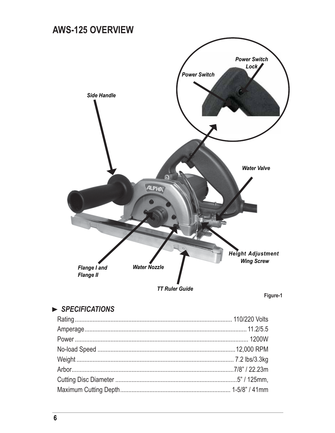### **AWS-125 OVERVIEW**



Figure-1

### $\triangleright$  SPECIFICATIONS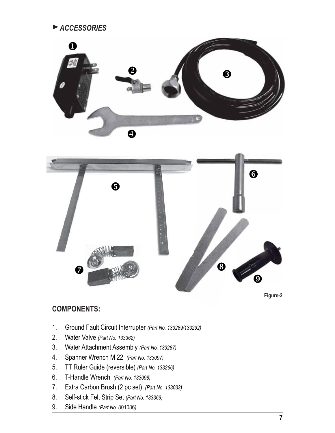*ACCESSORIES*





**Figure-2**

#### **COMPONENTS:**

- Ground Fault Circuit Interrupter *(Part No. 133289/133292)* 1.
- Water Valve *(Part No. 133362)* 2.
- Water Attachment Assembly *(Part No. 133287)* 3.
- Spanner Wrench M 22 *(Part No. 133097)* 4.
- TT Ruler Guide (reversible) *(Part No. 133266)* 5.
- T-Handle Wrench *(Part No. 133098)* 6.
- Extra Carbon Brush (2 pc set) *(Part No. 133033)* 7.
- Self-stick Felt Strip Set *(Part No. 133369)* 8.
- Side Handle *(Part No.* 801086*)* 9.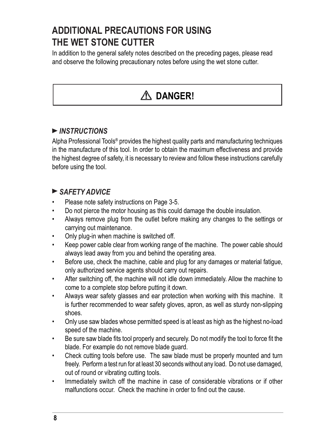### **ADDITIONAL PRECAUTIONS FOR USING THE WET STONE CUTTER**

In addition to the general safety notes described on the preceding pages, please read and observe the following precautionary notes before using the wet stone cutter.

## **DANGER!**

#### *INSTRUCTIONS*

Alpha Professional Tools® provides the highest quality parts and manufacturing techniques in the manufacture of this tool. In order to obtain the maximum effectiveness and provide the highest degree of safety, it is necessary to review and follow these instructions carefully before using the tool.

#### *SAFETY ADVICE*

- Please note safety instructions on Page 3-5.
- Do not pierce the motor housing as this could damage the double insulation.
- Always remove plug from the outlet before making any changes to the settings or carrying out maintenance.
- Only plug-in when machine is switched off.
- Keep power cable clear from working range of the machine. The power cable should always lead away from you and behind the operating area.
- Before use, check the machine, cable and plug for any damages or material fatigue, only authorized service agents should carry out repairs.
- After switching off, the machine will not idle down immediately. Allow the machine to come to a complete stop before putting it down.
- Always wear safety glasses and ear protection when working with this machine. It is further recommended to wear safety gloves, apron, as well as sturdy non-slipping shoes.
- Only use saw blades whose permitted speed is at least as high as the highest no-load speed of the machine.
- Be sure saw blade fits tool properly and securely. Do not modify the tool to force fit the blade. For example do not remove blade guard.
- Check cutting tools before use. The saw blade must be properly mounted and turn freely. Perform a test run for at least 30 seconds without any load. Do not use damaged, out of round or vibrating cutting tools.
- Immediately switch off the machine in case of considerable vibrations or if other malfunctions occur. Check the machine in order to find out the cause.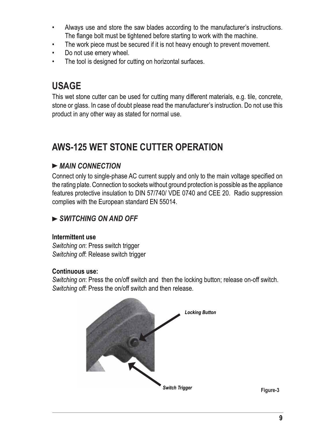- Always use and store the saw blades according to the manufacturer's instructions. The flange bolt must be tightened before starting to work with the machine.
- The work piece must be secured if it is not heavy enough to prevent movement.
- Do not use emery wheel.
- The tool is designed for cutting on horizontal surfaces.

### **USAGE**

This wet stone cutter can be used for cutting many different materials, e.g. tile, concrete, stone or glass. In case of doubt please read the manufacturer's instruction. Do not use this product in any other way as stated for normal use.

### **AWS-125 WET STONE CUTTER OPERATION**

#### *MAIN CONNECTION*

Connect only to single-phase AC current supply and only to the main voltage specified on the rating plate. Connection to sockets without ground protection is possible as the appliance features protective insulation to DIN 57/740/ VDE 0740 and CEE 20. Radio suppression complies with the European standard EN 55014.

#### *SWITCHING ON AND OFF*

#### **Intermittent use**

*Switching on*: Press switch trigger *Switching off*: Release switch trigger

#### **Continuous use:**

*Switching on*: Press the on/off switch and then the locking button; release on-off switch. *Switching off*: Press the on/off switch and then release.

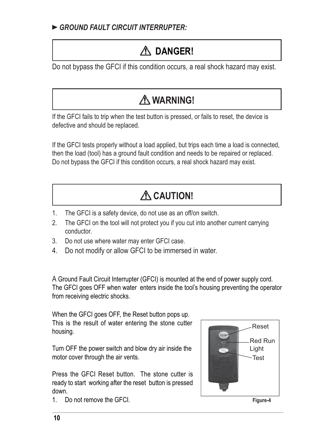## **DANGER!**

Do not bypass the GFCI if this condition occurs, a real shock hazard may exist.

## **WARNING!**

If the GFCI fails to trip when the test button is pressed, or fails to reset, the device is defective and should be replaced.

If the GFCI tests properly without a load applied, but trips each time a load is connected, then the load (tool) has a ground fault condition and needs to be repaired or replaced. Do not bypass the GFCI if this condition occurs, a real shock hazard may exist.

## **CAUTION!**

- The GFCI is a safety device, do not use as an off/on switch. 1.
- The GFCI on the tool will not protect you if you cut into another current carrying conductor. 2.
- Do not use where water may enter GFCI case. 3.
- Do not modify or allow GFCI to be immersed in water. 4.

A Ground Fault Circuit Interrupter (GFCI) is mounted at the end of power supply cord. The GFCI goes OFF when water enters inside the tool's housing preventing the operator from receiving electric shocks.

When the GFCI goes OFF, the Reset button pops up. This is the result of water entering the stone cutter housing.

Turn OFF the power switch and blow dry air inside the motor cover through the air vents.

Press the GFCI Reset button. The stone cutter is ready to start working after the reset button is pressed down.

1. Do not remove the GFCI.



**Figure-4**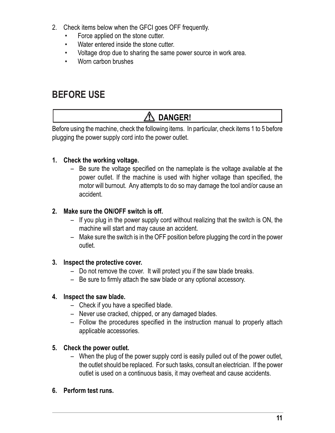- 2. Check items below when the GFCI goes OFF frequently.
	- Force applied on the stone cutter.
	- Water entered inside the stone cutter.
	- Voltage drop due to sharing the same power source in work area.
	- Worn carbon brushes

### **BEFORE USE**

### **DANGER!**

Before using the machine, check the following items. In particular, check items 1 to 5 before plugging the power supply cord into the power outlet.

#### **1. Check the working voltage.**

 $-$  Be sure the voltage specified on the nameplate is the voltage available at the power outlet. If the machine is used with higher voltage than specified, the motor will burnout. Any attempts to do so may damage the tool and/or cause an accident.

#### **2. Make sure the ON/OFF switch is off.**

- If you plug in the power supply cord without realizing that the switch is ON, the machine will start and may cause an accident.
- Make sure the switch is in the OFF position before plugging the cord in the power outlet.

#### **3. Inspect the protective cover.**

- Do not remove the cover. It will protect you if the saw blade breaks.
- $-$  Be sure to firmly attach the saw blade or any optional accessory.

#### **4. Inspect the saw blade.**

- $-$  Check if you have a specified blade.
- Never use cracked, chipped, or any damaged blades.
- Follow the procedures specified in the instruction manual to properly attach applicable accessories.

#### **5. Check the power outlet.**

– When the plug of the power supply cord is easily pulled out of the power outlet, the outlet should be replaced. For such tasks, consult an electrician. If the power outlet is used on a continuous basis, it may overheat and cause accidents.

#### **6. Perform test runs.**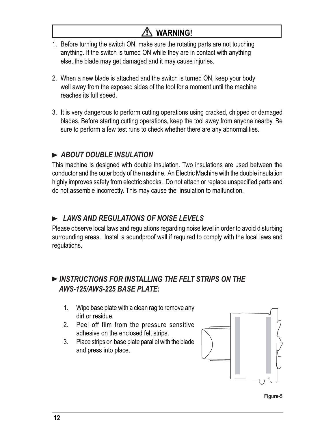#### $\sqrt{N}$  **WARNING!**

- 1. Before turning the switch ON, make sure the rotating parts are not touching anything. If the switch is turned ON while they are in contact with anything else, the blade may get damaged and it may cause injuries.
- 2. When a new blade is attached and the switch is turned ON, keep your body well away from the exposed sides of the tool for a moment until the machine reaches its full speed.
- 3. It is very dangerous to perform cutting operations using cracked, chipped or damaged blades. Before starting cutting operations, keep the tool away from anyone nearby. Be sure to perform a few test runs to check whether there are any abnormalities.

#### *ABOUT DOUBLE INSULATION*

This machine is designed with double insulation. Two insulations are used between the conductor and the outer body of the machine. An Electric Machine with the double insulation highly improves safety from electric shocks. Do not attach or replace unspecified parts and do not assemble incorrectly. This may cause the insulation to malfunction.

#### *LAWS AND REGULATIONS OF NOISE LEVELS*

Please observe local laws and regulations regarding noise level in order to avoid disturbing surrounding areas. Install a soundproof wall if required to comply with the local laws and regulations.

#### *INSTRUCTIONS FOR INSTALLING THE FELT STRIPS ON THE AWS-125/AWS-225 BASE PLATE:*

- 1. Wipe base plate with a clean rag to remove any dirt or residue.
- 2. Peel off film from the pressure sensitive adhesive on the enclosed felt strips.
- 3. Place strips on base plate parallel with the blade and press into place.



**Figure-5**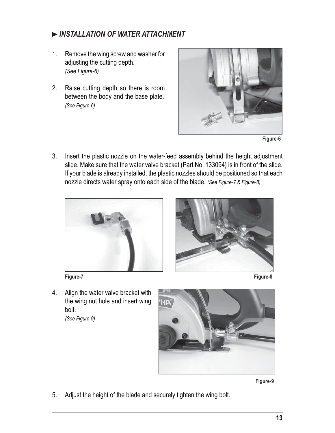#### *INSTALLATION OF WATER ATTACHMENT*

- 1. Remove the wing screw and washer for adjusting the cutting depth. *(See Figure-6)*
- 2. Raise cutting depth so there is room between the body and the base plate. *(See Figure-6)*



**Figure-6**

3. Insert the plastic nozzle on the water-feed assembly behind the height adjustment slide. Make sure that the water valve bracket (Part No. 133094) is in front of the slide. If your blade is already installed, the plastic nozzles should be positioned so that each nozzle directs water spray onto each side of the blade. *(See Figure-7 & Figure-8)*



**Figure-7 Figure-8**



4. Align the water valve bracket with the wing nut hole and insert wing bolt.

*(See Figure-9)*



**Figure-9**

5. Adjust the height of the blade and securely tighten the wing bolt.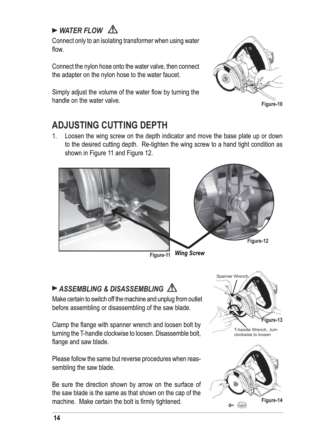### $\triangleright$  WATER FLOW  $\bigwedge$

Connect only to an isolating transformer when using water flow.

Connect the nylon hose onto the water valve, then connect the adapter on the nylon hose to the water faucet.

Simply adjust the volume of the water flow by turning the handle on the water valve.



**Figure-10**

### **ADJUSTING CUTTING DEPTH**

Loosen the wing screw on the depth indicator and move the base plate up or down 1. to the desired cutting depth. Re-tighten the wing screw to a hand tight condition as shown in Figure 11 and Figure 12.



**Figure-11** *Wing Screw*

### *ASSEMBLING & DISASSEMBLING*

Make certain to switch off the machine and unplug from outlet before assembling or disassembling of the saw blade.

Clamp the flange with spanner wrench and loosen bolt by turning the T-handle clockwise to loosen. Disassemble bolt, flange and saw blade.

Please follow the same but reverse procedures when reassembling the saw blade.

Be sure the direction shown by arrow on the surface of the saw blade is the same as that shown on the cap of the machine. Make certain the bolt is firmly tightened.

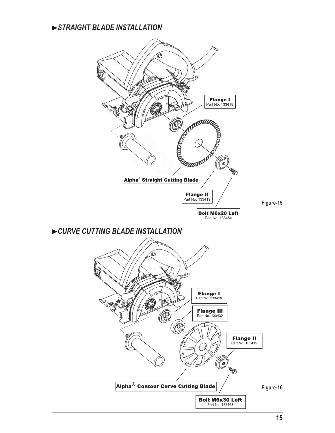#### *STRAIGHT BLADE INSTALLATION*

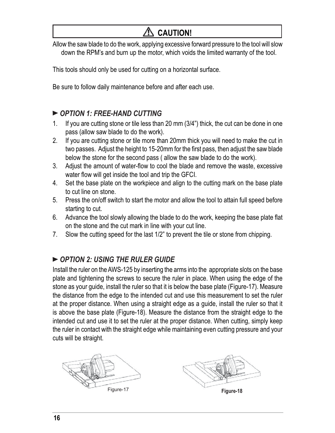### **CAUTION!**

Allow the saw blade to do the work, applying excessive forward pressure to the tool will slow down the RPM's and burn up the motor, which voids the limited warranty of the tool.

This tools should only be used for cutting on a horizontal surface.

Be sure to follow daily maintenance before and after each use.

#### *OPTION 1: FREE-HAND CUTTING*

- If you are cutting stone or tile less than 20 mm (3/4") thick, the cut can be done in one pass (allow saw blade to do the work). 1.
- If you are cutting stone or tile more than 20mm thick you will need to make the cut in two passes. Adjust the height to 15-20mm for the first pass, then adjust the saw blade below the stone for the second pass ( allow the saw blade to do the work). 2.
- Adjust the amount of water-flow to cool the blade and remove the waste, excessive water flow will get inside the tool and trip the GFCI. 3.
- Set the base plate on the workpiece and align to the cutting mark on the base plate to cut line on stone. 4.
- Press the on/off switch to start the motor and allow the tool to attain full speed before starting to cut. 5.
- Advance the tool slowly allowing the blade to do the work, keeping the base plate flat on the stone and the cut mark in line with your cut line. 6.
- Slow the cutting speed for the last 1/2" to prevent the tile or stone from chipping. 7.

#### *OPTION 2: USING THE RULER GUIDE*

Install the ruler on the AWS-125 by inserting the arms into the appropriate slots on the base plate and tightening the screws to secure the ruler in place. When using the edge of the stone as your guide, install the ruler so that it is below the base plate (Figure-17). Measure the distance from the edge to the intended cut and use this measurement to set the ruler at the proper distance. When using a straight edge as a guide, install the ruler so that it is above the base plate (Figure-18). Measure the distance from the straight edge to the intended cut and use it to set the ruler at the proper distance. When cutting, simply keep the ruler in contact with the straight edge while maintaining even cutting pressure and your cuts will be straight.

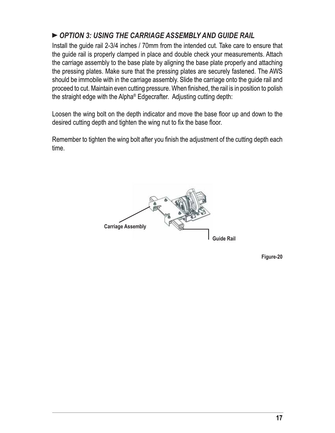#### *OPTION 3: USING THE CARRIAGE ASSEMBLY AND GUIDE RAIL*

Install the guide rail 2-3/4 inches / 70mm from the intended cut. Take care to ensure that the guide rail is properly clamped in place and double check your measurements. Attach the carriage assembly to the base plate by aligning the base plate properly and attaching the pressing plates. Make sure that the pressing plates are securely fastened. The AWS should be immobile with in the carriage assembly. Slide the carriage onto the guide rail and proceed to cut. Maintain even cutting pressure. When finished, the rail is in position to polish the straight edge with the Alpha® Edgecrafter. Adjusting cutting depth:

Loosen the wing bolt on the depth indicator and move the base floor up and down to the desired cutting depth and tighten the wing nut to fix the base floor.

Remember to tighten the wing bolt after you finish the adjustment of the cutting depth each time.



**Figure-20**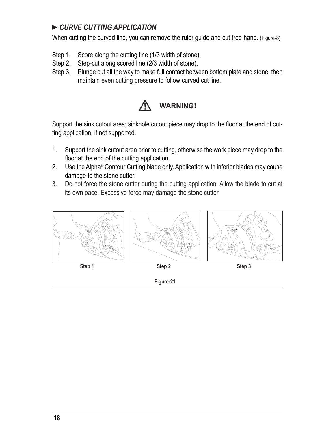#### *CURVE CUTTING APPLICATION*

When cutting the curved line, you can remove the ruler guide and cut free-hand. (Figure-8)

- Step 1. Score along the cutting line (1/3 width of stone).
- Step 2. Step-cut along scored line (2/3 width of stone).
- Step 3. Plunge cut all the way to make full contact between bottom plate and stone, then maintain even cutting pressure to follow curved cut line.



Support the sink cutout area; sinkhole cutout piece may drop to the floor at the end of cutting application, if not supported.

- 1. Support the sink cutout area prior to cutting, otherwise the work piece may drop to the floor at the end of the cutting application.
- 2. Use the Alpha<sup>®</sup> Contour Cutting blade only. Application with inferior blades may cause damage to the stone cutter.
- 3. Do not force the stone cutter during the cutting application. Allow the blade to cut at its own pace. Excessive force may damage the stone cutter.



**Figure-21**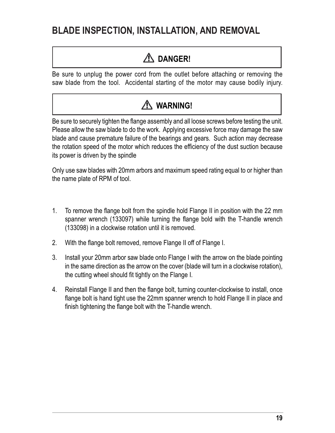### **BLADE INSPECTION, INSTALLATION, AND REMOVAL**

### **DANGER!**

Be sure to unplug the power cord from the outlet before attaching or removing the saw blade from the tool. Accidental starting of the motor may cause bodily injury.



Be sure to securely tighten the flange assembly and all loose screws before testing the unit. Please allow the saw blade to do the work. Applying excessive force may damage the saw blade and cause premature failure of the bearings and gears. Such action may decrease the rotation speed of the motor which reduces the efficiency of the dust suction because its power is driven by the spindle

Only use saw blades with 20mm arbors and maximum speed rating equal to or higher than the name plate of RPM of tool.

- To remove the flange bolt from the spindle hold Flange II in position with the 22 mm spanner wrench (133097) while turning the flange bold with the T-handle wrench (133098) in a clockwise rotation until it is removed. 1.
- With the flange bolt removed, remove Flange II off of Flange I. 2.
- Install your 20mm arbor saw blade onto Flange I with the arrow on the blade pointing in the same direction as the arrow on the cover (blade will turn in a clockwise rotation), the cutting wheel should fit tightly on the Flange I. 3.
- Reinstall Flange II and then the flange bolt, turning counter-clockwise to install, once flange bolt is hand tight use the 22mm spanner wrench to hold Flange II in place and finish tightening the flange bolt with the T-handle wrench. 4.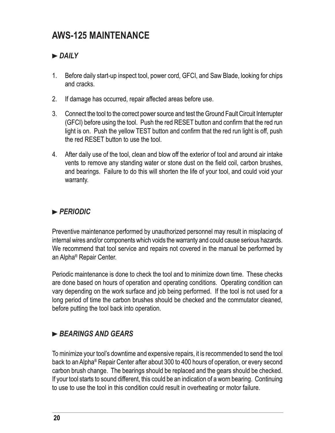### **AWS-125 MAINTENANCE**

#### *DAILY*

- Before daily start-up inspect tool, power cord, GFCI, and Saw Blade, looking for chips and cracks. 1.
- If damage has occurred, repair affected areas before use. 2.
- Connect the tool to the correct power source and test the Ground Fault Circuit Interrupter (GFCI) before using the tool. Push the red RESET button and confirm that the red run light is on. Push the yellow TEST button and confirm that the red run light is off, push the red RESET button to use the tool. 3.
- After daily use of the tool, clean and blow off the exterior of tool and around air intake 4.vents to remove any standing water or stone dust on the field coil, carbon brushes, and bearings. Failure to do this will shorten the life of your tool, and could void your warranty.

#### *PERIODIC*

Preventive maintenance performed by unauthorized personnel may result in misplacing of internal wires and/or components which voids the warranty and could cause serious hazards. We recommend that tool service and repairs not covered in the manual be performed by an Alpha® Repair Center.

Periodic maintenance is done to check the tool and to minimize down time. These checks are done based on hours of operation and operating conditions. Operating condition can vary depending on the work surface and job being performed. If the tool is not used for a long period of time the carbon brushes should be checked and the commutator cleaned, before putting the tool back into operation.

#### *BEARINGS AND GEARS*

To minimize your tool's downtime and expensive repairs, it is recommended to send the tool back to an Alpha® Repair Center after about 300 to 400 hours of operation, or every second carbon brush change. The bearings should be replaced and the gears should be checked. If your tool starts to sound different, this could be an indication of a worn bearing. Continuing to use to use the tool in this condition could result in overheating or motor failure.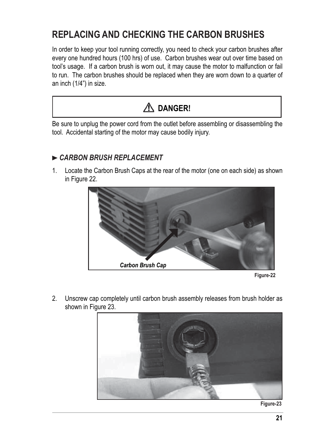### **REPLACING AND CHECKING THE CARBON BRUSHES**

In order to keep your tool running correctly, you need to check your carbon brushes after every one hundred hours (100 hrs) of use. Carbon brushes wear out over time based on tool's usage. If a carbon brush is worn out, it may cause the motor to malfunction or fail to run. The carbon brushes should be replaced when they are worn down to a quarter of an inch (1/4") in size.



Be sure to unplug the power cord from the outlet before assembling or disassembling the tool. Accidental starting of the motor may cause bodily injury.

#### *CARBON BRUSH REPLACEMENT*

1. Locate the Carbon Brush Caps at the rear of the motor (one on each side) as shown in Figure 22.



**Figure-22**

2. Unscrew cap completely until carbon brush assembly releases from brush holder as shown in Figure 23.



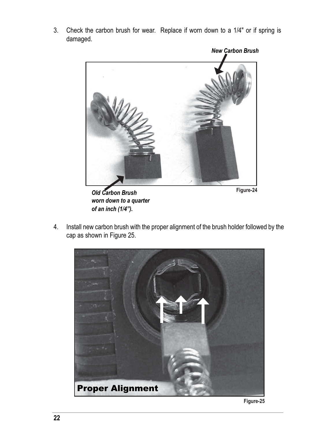3. Check the carbon brush for wear. Replace if worn down to a 1/4" or if spring is damaged.



*Old Carbon Brush worn down to a quarter of an inch (1/4").*

**Figure-24**

4. Install new carbon brush with the proper alignment of the brush holder followed by the cap as shown in Figure 25.



**Figure-25**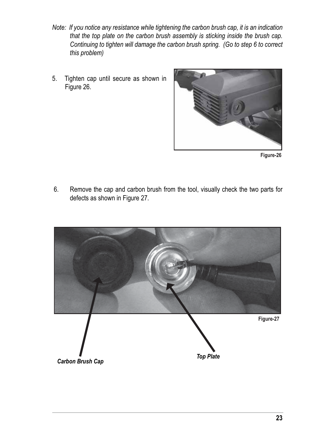- *Note: If you notice any resistance while tightening the carbon brush cap, it is an indication that the top plate on the carbon brush assembly is sticking inside the brush cap. Continuing to tighten will damage the carbon brush spring. (Go to step 6 to correct this problem)*
- 5. Tighten cap until secure as shown in Figure 26.



**Figure-26**

 6. Remove the cap and carbon brush from the tool, visually check the two parts for defects as shown in Figure 27.

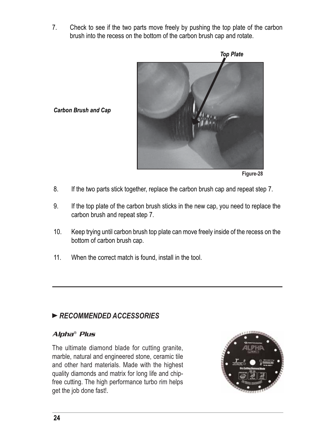7. Check to see if the two parts move freely by pushing the top plate of the carbon brush into the recess on the bottom of the carbon brush cap and rotate.



*Carbon Brush and Cap*

**Figure-28**

- 8. If the two parts stick together, replace the carbon brush cap and repeat step 7.
- 9. If the top plate of the carbon brush sticks in the new cap, you need to replace the carbon brush and repeat step 7.
- 10. Keep trying until carbon brush top plate can move freely inside of the recess on the bottom of carbon brush cap.
- 11. When the correct match is found, install in the tool.

#### *RECOMMENDED ACCESSORIES*

#### Alpha® Plus

The ultimate diamond blade for cutting granite, marble, natural and engineered stone, ceramic tile and other hard materials. Made with the highest quality diamonds and matrix for long life and chipfree cutting. The high performance turbo rim helps get the job done fast!.

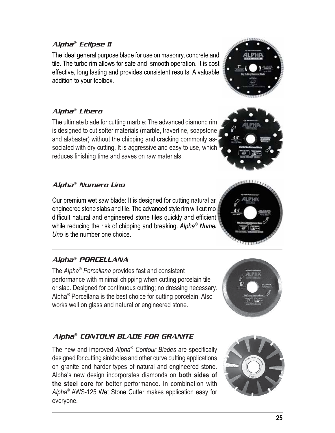**25**

#### Alpha® Eclipse II

The ideal general purpose blade for use on masonry, concrete and tile. The turbo rim allows for safe and smooth operation. It is cost effective, long lasting and provides consistent results. A valuable addition to your toolbox.

#### Alpha® Libero

The ultimate blade for cutting marble: The advanced diamond rim is designed to cut softer materials (marble, travertine, soapstone and alabaster) without the chipping and cracking commonly associated with dry cutting. It is aggressive and easy to use, which reduces finishing time and saves on raw materials.

#### Alpha® Numero Uno

Our premium wet saw blade: It is designed for cutting natural and engineered stone slabs and tile. The advanced style rim will cut mo difficult natural and engineered stone tiles quickly and efficient while reducing the risk of chipping and breaking. Alpha<sup>®</sup> Numer *Uno* is the number one choice.

#### Alpha® PORCELLANA

The *Alpha*®  *Porcellana* provides fast and consistent performance with minimal chipping when cutting porcelain tile or slab. Designed for continuous cutting; no dressing necessary. Alpha® Porcellana is the best choice for cutting porcelain. Also works well on glass and natural or engineered stone.

#### Alpha® CONTOUR BLADE FOR GRANITE

The new and improved *Alpha*<sup>®</sup> Contour Blades are specifically designed for cutting sinkholes and other curve cutting applications on granite and harder types of natural and engineered stone. Alpha's new design incorporates diamonds on **both sides of the steel core** for better performance. In combination with *Alpha*® AWS-125 Wet Stone Cutter makes application easy for everyone.







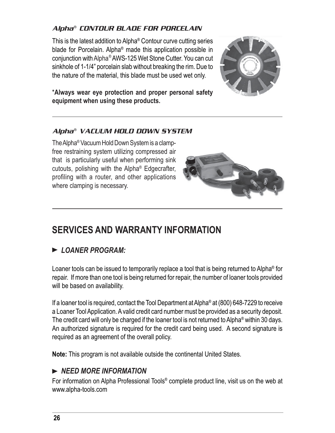#### Alpha® CONTOUR BLADE FOR PORCELAIN

This is the latest addition to Alpha® Contour curve cutting series blade for Porcelain. Alpha® made this application possible in conjunction with Alpha® AWS-125 Wet Stone Cutter. You can cut sinkhole of 1-1/4" porcelain slab without breaking the rim. Due to the nature of the material, this blade must be used wet only.



\***Always wear eye protection and proper personal safety equipment when using these products.**

#### Alpha® VACUUM HOLD DOWN SYSTEM

The Alpha® Vacuum Hold Down System is a clampfree restraining system utilizing compressed air that is particularly useful when performing sink cutouts, polishing with the Alpha® Edgecrafter, profiling with a router, and other applications where clamping is necessary.



### **SERVICES AND WARRANTY INFORMATION**

#### *LOANER PROGRAM:*

Loaner tools can be issued to temporarily replace a tool that is being returned to Alpha® for repair. If more than one tool is being returned for repair, the number of loaner tools provided will be based on availability.

If a loaner tool is required, contact the Tool Department at Alpha® at (800) 648-7229 to receive a Loaner Tool Application. A valid credit card number must be provided as a security deposit. The credit card will only be charged if the loaner tool is not returned to Alpha® within 30 days. An authorized signature is required for the credit card being used. A second signature is required as an agreement of the overall policy.

**Note:** This program is not available outside the continental United States.

#### *NEED MORE INFORMATION*

For information on Alpha Professional Tools® complete product line, visit us on the web at www.alpha-tools.com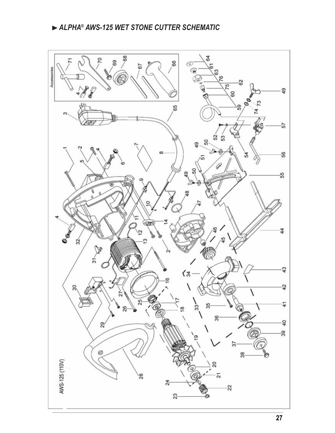#### *ALPHA® AWS-125 WET STONE CUTTER SCHEMATIC*

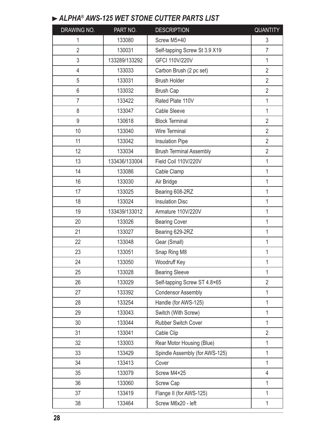#### *ALPHA® AWS-125 WET STONE CUTTER PARTS LIST*

| DRAWING NO.    | PART NO.      | <b>DESCRIPTION</b>             | <b>QUANTITY</b> |
|----------------|---------------|--------------------------------|-----------------|
| 1              | 133080        | Screw M5×40                    | 3               |
| $\overline{2}$ | 130031        | Self-tapping Screw St 3.9 X19  | $\overline{7}$  |
| 3              | 133289/133292 | <b>GFCI 110V/220V</b>          | 1               |
| 4              | 133033        | Carbon Brush (2 pc set)        | $\overline{2}$  |
| 5              | 133031        | <b>Brush Holder</b>            | $\overline{2}$  |
| 6              | 133032        | <b>Brush Cap</b>               | $\overline{2}$  |
| $\overline{7}$ | 133422        | Rated Plate 110V               | $\mathbf 1$     |
| 8              | 133047        | <b>Cable Sleeve</b>            | $\mathbf{1}$    |
| 9              | 130618        | <b>Block Terminal</b>          | $\overline{2}$  |
| 10             | 133040        | <b>Wire Terminal</b>           | $\overline{2}$  |
| 11             | 133042        | <b>Insulation Pipe</b>         | $\overline{2}$  |
| 12             | 133034        | <b>Brush Terminal Assembly</b> | $\overline{2}$  |
| 13             | 133436/133004 | Field Coil 110V/220V           | $\mathbf{1}$    |
| 14             | 133086        | Cable Clamp                    | $\mathbf 1$     |
| 16             | 133030        | Air Bridge                     | $\mathbf 1$     |
| 17             | 133025        | Bearing 608-2RZ                | $\mathbf{1}$    |
| 18             | 133024        | <b>Insulation Disc</b>         | 1               |
| 19             | 133439/133012 | Armature 110V/220V             | $\mathbf{1}$    |
| 20             | 133026        | <b>Bearing Cover</b>           | 1               |
| 21             | 133027        | Bearing 629-2RZ                | $\mathbf 1$     |
| 22             | 133048        | Gear (Small)                   | $\mathbf{1}$    |
| 23             | 133051        | Snap Ring M8                   | 1               |
| 24             | 133050        | Woodruff Key                   | 1               |
| 25             | 133028        | <b>Bearing Sleeve</b>          | 1               |
| 26             | 133029        | Self-tapping Screw ST 4.8×65   | $\overline{2}$  |
| 27             | 133392        | <b>Condensor Assembly</b>      | $\mathbf{1}$    |
| 28             | 133254        | Handle (for AWS-125)           | $\mathbf 1$     |
| 29             | 133043        | Switch (With Screw)            | $\mathbf{1}$    |
| 30             | 133044        | <b>Rubber Switch Cover</b>     | $\mathbf{1}$    |
| 31             | 133041        | Cable Clip                     | $\overline{2}$  |
| 32             | 133003        | Rear Motor Housing (Blue)      | 1               |
| 33             | 133429        | Spindle Assembly (for AWS-125) | 1               |
| 34             | 133413        | Cover                          | $\mathbf{1}$    |
| 35             | 133079        | Screw M4×25                    | 4               |
| 36             | 133060        | <b>Screw Cap</b>               | $\mathbf{1}$    |
| 37             | 133419        | Flange II (for AWS-125)        | $\mathbf{1}$    |
| 38             | 133464        | Screw M6x20 - left             | 1               |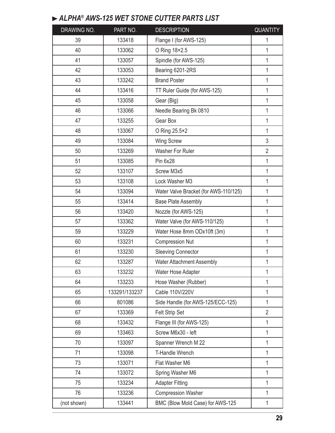### *ALPHA® AWS-125 WET STONE CUTTER PARTS LIST*

| DRAWING NO. | PART NO.      | <b>DESCRIPTION</b>                    | <b>QUANTITY</b> |
|-------------|---------------|---------------------------------------|-----------------|
| 39          | 133418        | Flange I (for AWS-125)                | 1               |
| 40          | 133062        | O Ring 18×2.5                         | $\mathbf{1}$    |
| 41          | 133057        | Spindle (for AWS-125)                 | $\mathbf{1}$    |
| 42          | 133053        | Bearing 6201-2RS                      | 1               |
| 43          | 133242        | <b>Brand Poster</b>                   | 1               |
| 44          | 133416        | TT Ruler Guide (for AWS-125)          | $\mathbf{1}$    |
| 45          | 133058        | Gear (Big)                            | 1               |
| 46          | 133066        | Needle Bearing Bk 0810                | $\mathbf{1}$    |
| 47          | 133255        | Gear Box                              | $\mathbf 1$     |
| 48          | 133067        | O Ring 25.5×2                         | $\mathbf{1}$    |
| 49          | 133084        | <b>Wing Screw</b>                     | 3               |
| 50          | 133269        | <b>Washer For Ruler</b>               | $\overline{2}$  |
| 51          | 133085        | Pin 6x28                              | 1               |
| 52          | 133107        | Screw M3x5                            | $\mathbf{1}$    |
| 53          | 133108        | Lock Washer M3                        | $\mathbf{1}$    |
| 54          | 133094        | Water Valve Bracket (for AWS-110/125) | $\mathbf{1}$    |
| 55          | 133414        | <b>Base Plate Assembly</b>            | 1               |
| 56          | 133420        | Nozzle (for AWS-125)                  | $\mathbf{1}$    |
| 57          | 133362        | Water Valve (for AWS-110/125)         | 1               |
| 59          | 133229        | Water Hose 8mm ODx10ft (3m)           | $\mathbf{1}$    |
| 60          | 133231        | <b>Compression Nut</b>                | 1               |
| 61          | 133230        | <b>Sleeving Connector</b>             | $\mathbf 1$     |
| 62          | 133287        | <b>Water Attachment Assembly</b>      | 1               |
| 63          | 133232        | Water Hose Adapter                    | 1               |
| 64          | 133233        | Hose Washer (Rubber)                  | 1               |
| 65          | 133291/133237 | Cable 110V/220V                       | 1               |
| 66          | 801086        | Side Handle (for AWS-125/ECC-125)     | 1               |
| 67          | 133369        | Felt Strip Set                        | $\overline{2}$  |
| 68          | 133432        | Flange III (for AWS-125)              | 1               |
| 69          | 133463        | Screw M6x30 - left                    | 1               |
| 70          | 133097        | Spanner Wrench M 22                   | $\mathbf{1}$    |
| 71          | 133098        | <b>T-Handle Wrench</b>                | 1               |
| 73          | 133071        | Flat Washer M6                        | 1               |
| 74          | 133072        | Spring Washer M6                      | 1               |
| 75          | 133234        | <b>Adapter Fitting</b>                | $\mathbf{1}$    |
| 76          | 133236        | <b>Compression Washer</b>             | 1               |
| (not shown) | 133441        | BMC (Blow Mold Case) for AWS-125      | $\mathbf{1}$    |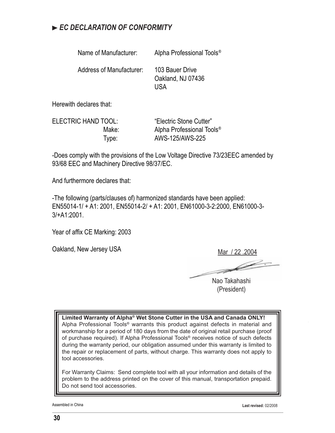#### *EC DECLARATION OF CONFORMITY*

| Name of Manufacturer:    | Alpha Professional Tools <sup>®</sup>       |
|--------------------------|---------------------------------------------|
| Address of Manufacturer: | 103 Bauer Drive<br>Oakland, NJ 07436<br>USA |

Herewith declares that:

ELECTRIC HAND TOOL: "Electric Stone Cutter" Make: Alpha Professional Tools<sup>®</sup> Type: AWS-125/AWS-225

-Does comply with the provisions of the Low Voltage Directive 73/23EEC amended by 93/68 EEC and Machinery Directive 98/37/EC.

And furthermore declares that:

-The following (parts/clauses of) harmonized standards have been applied: EN55014-1/ + A1: 2001, EN55014-2/ + A1: 2001, EN61000-3-2:2000, EN61000-3- 3/+A1:2001.

Year of affix CE Marking: 2003

Oakland, New Jersey USA

Mar / 22 .2004

D-

Nao Takahashi (President)

**Limited Warranty of Alpha® Wet Stone Cutter in the USA and Canada ONLY!** Alpha Professional Tools® warrants this product against defects in material and workmanship for a period of 180 days from the date of original retail purchase (proof of purchase required). If Alpha Professional Tools® receives notice of such defects during the warranty period, our obligation assumed under this warranty is limited to the repair or replacement of parts, without charge. This warranty does not apply to tool accessories.

For Warranty Claims: Send complete tool with all your information and details of the problem to the address printed on the cover of this manual, transportation prepaid. Do not send tool accessories.

Assembled in China **Last revised:** 02/2008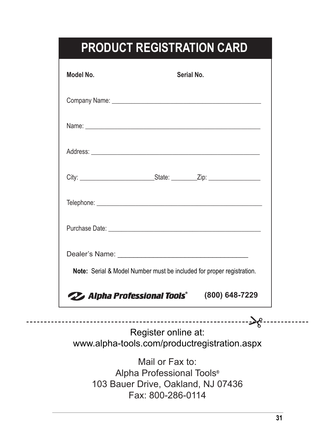## **PRODUCT REGISTRATION CARD**

| Model No.                                                                                                             | <b>Serial No.</b> |
|-----------------------------------------------------------------------------------------------------------------------|-------------------|
| Company Name: <b>Manual Access of the Company Name:</b> Manual Access of the Company Name: <b>Company Name:</b> 2007. |                   |
|                                                                                                                       |                   |
|                                                                                                                       |                   |
|                                                                                                                       |                   |
|                                                                                                                       |                   |
|                                                                                                                       |                   |
| Note: Serial & Model Number must be included for proper registration.                                                 |                   |
| <b>22 Alpha Professional Tools®</b>                                                                                   | (800) 648-7229    |

Register online at: -------->8--www.alpha-tools.com/productregistration.aspx

> Mail or Fax to: Alpha Professional Tools*®* 103 Bauer Drive, Oakland, NJ 07436 Fax: 800-286-0114